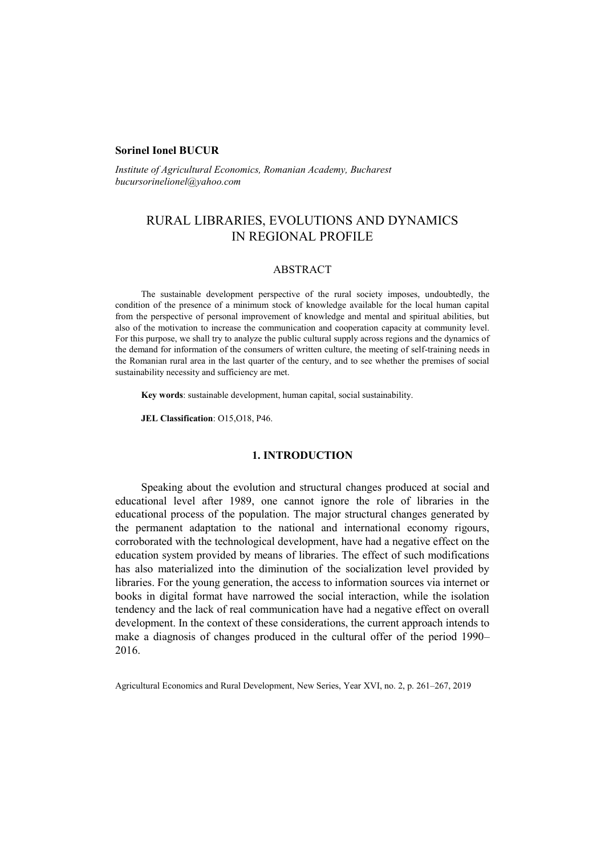### **Sorinel Ionel BUCUR**

*Institute of Agricultural Economics, Romanian Academy, Bucharest bucursorinelionel@yahoo.com*

# RURAL LIBRARIES, EVOLUTIONS AND DYNAMICS IN REGIONAL PROFILE

## ABSTRACT

The sustainable development perspective of the rural society imposes, undoubtedly, the condition of the presence of a minimum stock of knowledge available for the local human capital from the perspective of personal improvement of knowledge and mental and spiritual abilities, but also of the motivation to increase the communication and cooperation capacity at community level. For this purpose, we shall try to analyze the public cultural supply across regions and the dynamics of the demand for information of the consumers of written culture, the meeting of self-training needs in the Romanian rural area in the last quarter of the century, and to see whether the premises of social sustainability necessity and sufficiency are met.

**Key words**: sustainable development, human capital, social sustainability.

**JEL Classification**: O15,O18, P46.

### **1. INTRODUCTION**

Speaking about the evolution and structural changes produced at social and educational level after 1989, one cannot ignore the role of libraries in the educational process of the population. The major structural changes generated by the permanent adaptation to the national and international economy rigours, corroborated with the technological development, have had a negative effect on the education system provided by means of libraries. The effect of such modifications has also materialized into the diminution of the socialization level provided by libraries. For the young generation, the access to information sources via internet or books in digital format have narrowed the social interaction, while the isolation tendency and the lack of real communication have had a negative effect on overall development. In the context of these considerations, the current approach intends to make a diagnosis of changes produced in the cultural offer of the period 1990– 2016.

Agricultural Economics and Rural Development, New Series, Year XVI, no. 2, p. 261–267, 2019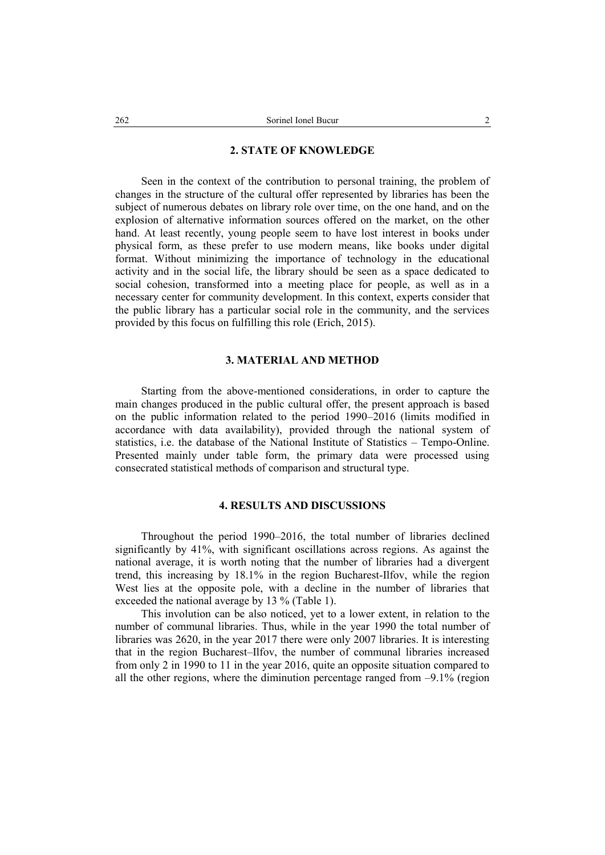### **2. STATE OF KNOWLEDGE**

Seen in the context of the contribution to personal training, the problem of changes in the structure of the cultural offer represented by libraries has been the subject of numerous debates on library role over time, on the one hand, and on the explosion of alternative information sources offered on the market, on the other hand. At least recently, young people seem to have lost interest in books under physical form, as these prefer to use modern means, like books under digital format. Without minimizing the importance of technology in the educational activity and in the social life, the library should be seen as a space dedicated to social cohesion, transformed into a meeting place for people, as well as in a necessary center for community development. In this context, experts consider that the public library has a particular social role in the community, and the services provided by this focus on fulfilling this role (Erich, 2015).

# **3. MATERIAL AND METHOD**

Starting from the above-mentioned considerations, in order to capture the main changes produced in the public cultural offer, the present approach is based on the public information related to the period 1990–2016 (limits modified in accordance with data availability), provided through the national system of statistics, i.e. the database of the National Institute of Statistics – Tempo-Online. Presented mainly under table form, the primary data were processed using consecrated statistical methods of comparison and structural type.

# **4. RESULTS AND DISCUSSIONS**

Throughout the period 1990–2016, the total number of libraries declined significantly by 41%, with significant oscillations across regions. As against the national average, it is worth noting that the number of libraries had a divergent trend, this increasing by 18.1% in the region Bucharest-Ilfov, while the region West lies at the opposite pole, with a decline in the number of libraries that exceeded the national average by 13 % (Table 1).

This involution can be also noticed, yet to a lower extent, in relation to the number of communal libraries. Thus, while in the year 1990 the total number of libraries was 2620, in the year 2017 there were only 2007 libraries. It is interesting that in the region Bucharest–Ilfov, the number of communal libraries increased from only 2 in 1990 to 11 in the year 2016, quite an opposite situation compared to all the other regions, where the diminution percentage ranged from  $-9.1\%$  (region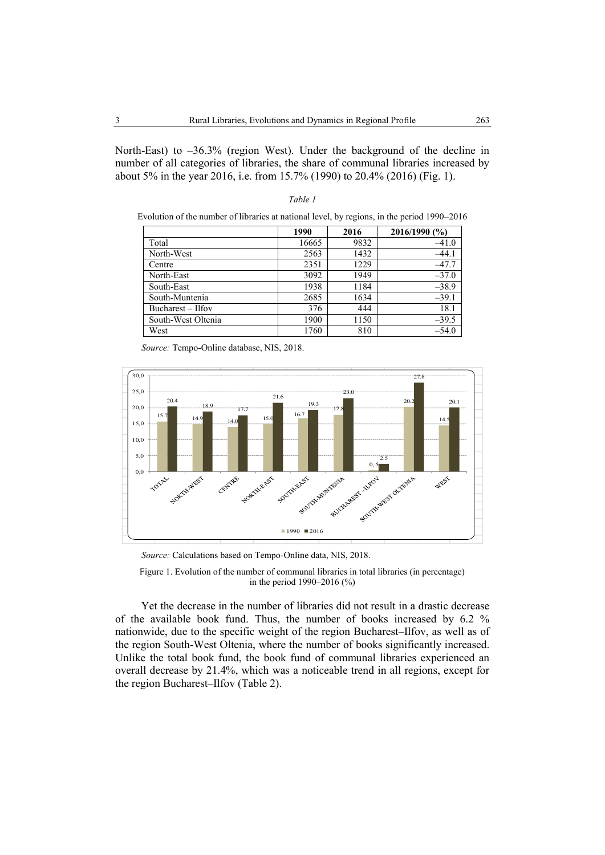North-East) to –36.3% (region West). Under the background of the decline in number of all categories of libraries, the share of communal libraries increased by about 5% in the year 2016, i.e. from 15.7% (1990) to 20.4% (2016) (Fig. 1).

*Table 1*

|                    | 1990  | 2016 | 2016/1990 (%) |
|--------------------|-------|------|---------------|
| Total              | 16665 | 9832 | $-41.0$       |
| North-West         | 2563  | 1432 | $-44.1$       |
| Centre             | 2351  | 1229 | $-47.7$       |
| North-East         | 3092  | 1949 | $-37.0$       |
| South-East         | 1938  | 1184 | $-38.9$       |
| South-Muntenia     | 2685  | 1634 | $-39.1$       |
| Bucharest – Ilfov  | 376   | 444  | 18.1          |
| South-West Oltenia | 1900  | 1150 | $-39.5$       |
| West               | 1760  | 810  | $-54.0$       |

*Source:* Tempo-Online database, NIS, 2018.



*Source:* Calculations based on Tempo-Online data, NIS, 2018.

Figure 1. Evolution of the number of communal libraries in total libraries (in percentage) in the period 1990–2016 (%)

Yet the decrease in the number of libraries did not result in a drastic decrease of the available book fund. Thus, the number of books increased by 6.2 % nationwide, due to the specific weight of the region Bucharest–Ilfov, as well as of the region South-West Oltenia, where the number of books significantly increased. Unlike the total book fund, the book fund of communal libraries experienced an overall decrease by 21.4%, which was a noticeable trend in all regions, except for the region Bucharest–Ilfov (Table 2).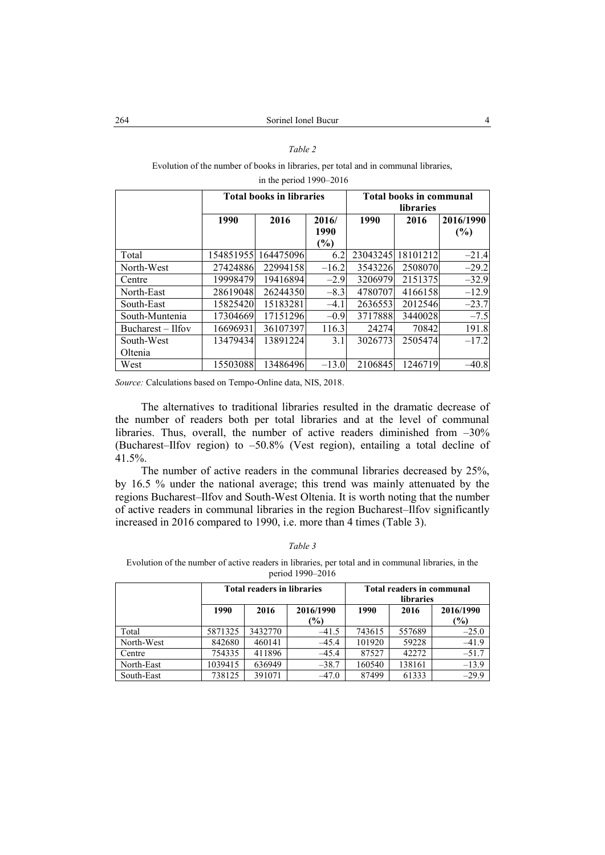### *Table 2*

Evolution of the number of books in libraries, per total and in communal libraries,

|                     |              | <b>Total books in libraries</b> |         | <b>Total books in communal</b><br>libraries |          |           |  |
|---------------------|--------------|---------------------------------|---------|---------------------------------------------|----------|-----------|--|
|                     | 2016<br>1990 |                                 | 2016/   | 1990                                        | 2016     | 2016/1990 |  |
|                     |              |                                 | 1990    |                                             |          | (%)       |  |
|                     |              |                                 | $(\%)$  |                                             |          |           |  |
| Total               | 154851955    | 164475096                       | 6.2     | 23043245                                    | 18101212 | $-21.4$   |  |
| North-West          | 27424886     | 22994158                        | $-16.2$ | 3543226                                     | 2508070  | $-29.2$   |  |
| Centre              | 19998479     | 19416894                        | $-2.9$  | 3206979                                     | 2151375  | $-32.9$   |  |
| North-East          | 28619048     | 26244350                        | $-8.3$  | 4780707                                     | 4166158  | $-12.9$   |  |
| South-East          | 15825420     | 15183281                        | $-4.1$  | 2636553                                     | 2012546  | $-23.7$   |  |
| South-Muntenia      | 17304669     | 17151296                        | $-0.9$  | 3717888                                     | 3440028  | $-7.5$    |  |
| $Bucharest - Ilfov$ | 16696931     | 36107397                        | 116.3   | 24274                                       | 70842    | 191.8     |  |
| South-West          | 13479434     | 13891224                        | 3.1     | 3026773                                     | 2505474  | $-17.2$   |  |
| Oltenia             |              |                                 |         |                                             |          |           |  |
| West                | 15503088     | 13486496                        | $-13.0$ | 2106845                                     | 1246719  | $-40.8$   |  |

in the period 1990–2016

*Source:* Calculations based on Tempo-Online data, NIS, 2018.

The alternatives to traditional libraries resulted in the dramatic decrease of the number of readers both per total libraries and at the level of communal libraries. Thus, overall, the number of active readers diminished from  $-30\%$ (Bucharest–Ilfov region) to –50.8% (Vest region), entailing a total decline of 41.5%.

The number of active readers in the communal libraries decreased by 25%, by 16.5 % under the national average; this trend was mainly attenuated by the regions Bucharest–Ilfov and South-West Oltenia. It is worth noting that the number of active readers in communal libraries in the region Bucharest–Ilfov significantly increased in 2016 compared to 1990, i.e. more than 4 times (Table 3).

#### *Table 3*

Evolution of the number of active readers in libraries, per total and in communal libraries, in the period 1990–2016

|            | <b>Total readers in libraries</b> |         |                  | Total readers in communal<br>libraries |        |                  |  |
|------------|-----------------------------------|---------|------------------|----------------------------------------|--------|------------------|--|
|            | 1990                              | 2016    | 2016/1990<br>(%) | 1990                                   | 2016   | 2016/1990<br>(%) |  |
| Total      | 5871325                           | 3432770 | $-41.5$          | 743615                                 | 557689 | $-25.0$          |  |
| North-West | 842680                            | 460141  | $-45.4$          | 101920                                 | 59228  | $-41.9$          |  |
| Centre     | 754335                            | 411896  | $-45.4$          | 87527                                  | 42272  | $-51.7$          |  |
| North-East | 1039415                           | 636949  | $-38.7$          | 160540                                 | 138161 | $-13.9$          |  |
| South-East | 738125                            | 391071  | $-47.0$          | 87499                                  | 61333  | $-29.9$          |  |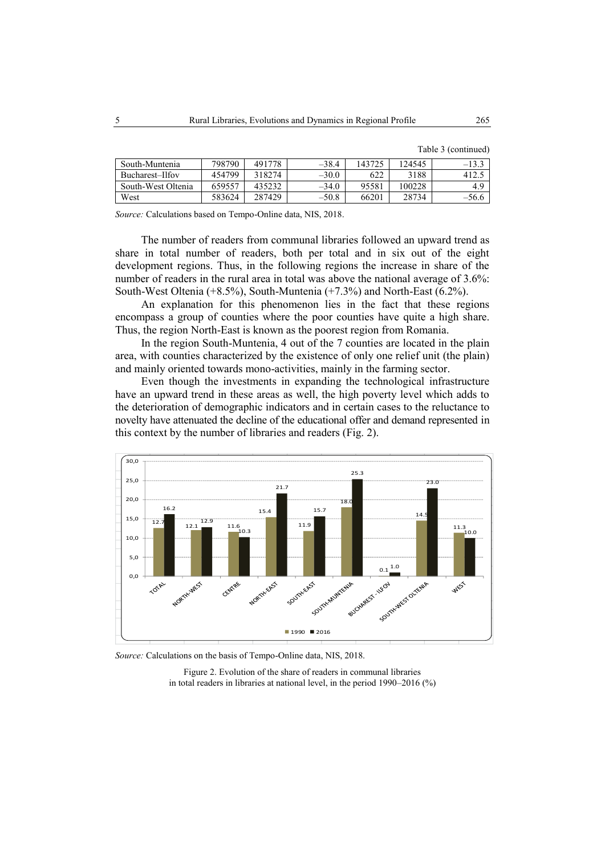|  | Table 3 (continued) |  |
|--|---------------------|--|
|--|---------------------|--|

| South-Muntenia     | 798790 | 491778 | $-38.4$ | 143725 | 124545 | $-13.3$ |
|--------------------|--------|--------|---------|--------|--------|---------|
| Bucharest-Ilfov    | 454799 | 318274 | $-30.0$ | 622    | 3188   |         |
| South-West Oltenia | 659557 | 435232 | $-34.0$ | 95581  | 100228 | 4.9     |
| West               | 583624 | 287429 | $-50.8$ | 66201  | 28734  | $-56.6$ |

*Source:* Calculations based on Tempo-Online data, NIS, 2018.

The number of readers from communal libraries followed an upward trend as share in total number of readers, both per total and in six out of the eight development regions. Thus, in the following regions the increase in share of the number of readers in the rural area in total was above the national average of 3.6%: South-West Oltenia (+8.5%), South-Muntenia (+7.3%) and North-East (6.2%).

An explanation for this phenomenon lies in the fact that these regions encompass a group of counties where the poor counties have quite a high share. Thus, the region North-East is known as the poorest region from Romania.

In the region South-Muntenia, 4 out of the 7 counties are located in the plain area, with counties characterized by the existence of only one relief unit (the plain) and mainly oriented towards mono-activities, mainly in the farming sector.

Even though the investments in expanding the technological infrastructure have an upward trend in these areas as well, the high poverty level which adds to the deterioration of demographic indicators and in certain cases to the reluctance to novelty have attenuated the decline of the educational offer and demand represented in this context by the number of libraries and readers (Fig. 2).



*Source:* Calculations on the basis of Tempo-Online data, NIS, 2018.

Figure 2. Evolution of the share of readers in communal libraries in total readers in libraries at national level, in the period 1990–2016 (%)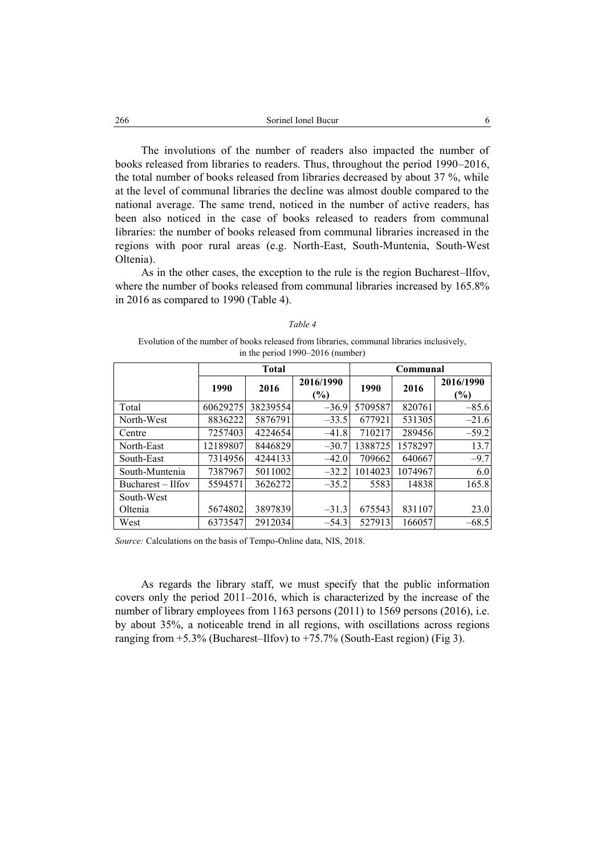The involutions of the number of readers also impacted the number of books released from libraries to readers. Thus, throughout the period 1990–2016, the total number of books released from libraries decreased by about 37 %, while at the level of communal libraries the decline was almost double compared to the national average. The same trend, noticed in the number of active readers, has been also noticed in the case of books released to readers from communal libraries: the number of books released from communal libraries increased in the regions with poor rural areas (e.g. North-East, South-Muntenia, South-West Oltenia).

As in the other cases, the exception to the rule is the region Bucharest–Ilfov, where the number of books released from communal libraries increased by 165.8% in 2016 as compared to 1990 (Table 4).

|--|--|

Evolution of the number of books released from libraries, communal libraries inclusively, in the period 1990–2016 (number)

|                     | <b>Total</b> |          |                     | Communal |         |                  |  |
|---------------------|--------------|----------|---------------------|----------|---------|------------------|--|
|                     | 1990         | 2016     | 2016/1990<br>$(\%)$ | 1990     | 2016    | 2016/1990<br>(%) |  |
| Total               | 60629275     | 38239554 | $-36.9$             | 5709587  | 820761  | $-85.6$          |  |
| North-West          | 8836222      | 5876791  | $-33.5$             | 677921   | 531305  | $-21.6$          |  |
| Centre              | 7257403      | 4224654  | $-41.8$             | 710217   | 289456  | $-59.2$          |  |
| North-East          | 12189807     | 8446829  | $-30.7$             | 1388725  | 1578297 | 13.7             |  |
| South-East          | 7314956      | 4244133  | $-42.0$             | 709662   | 640667  | $-9.7$           |  |
| South-Muntenia      | 7387967      | 5011002  | $-32.2$             | 1014023  | 1074967 | 6.0              |  |
| Bucharest $-$ Ilfov | 5594571      | 3626272  | $-35.2$             | 5583     | 14838   | 165.8            |  |
| South-West          |              |          |                     |          |         |                  |  |
| Oltenia             | 5674802      | 3897839  | $-31.3$             | 675543   | 831107  | 23.0             |  |
| West                | 6373547      | 2912034  | $-54.3$             | 527913   | 166057  | $-68.5$          |  |

*Source:* Calculations on the basis of Tempo-Online data, NIS, 2018.

As regards the library staff, we must specify that the public information covers only the period 2011–2016, which is characterized by the increase of the number of library employees from 1163 persons (2011) to 1569 persons (2016), i.e. by about 35%, a noticeable trend in all regions, with oscillations across regions ranging from  $+5.3\%$  (Bucharest–Ilfov) to  $+75.7\%$  (South-East region) (Fig 3).